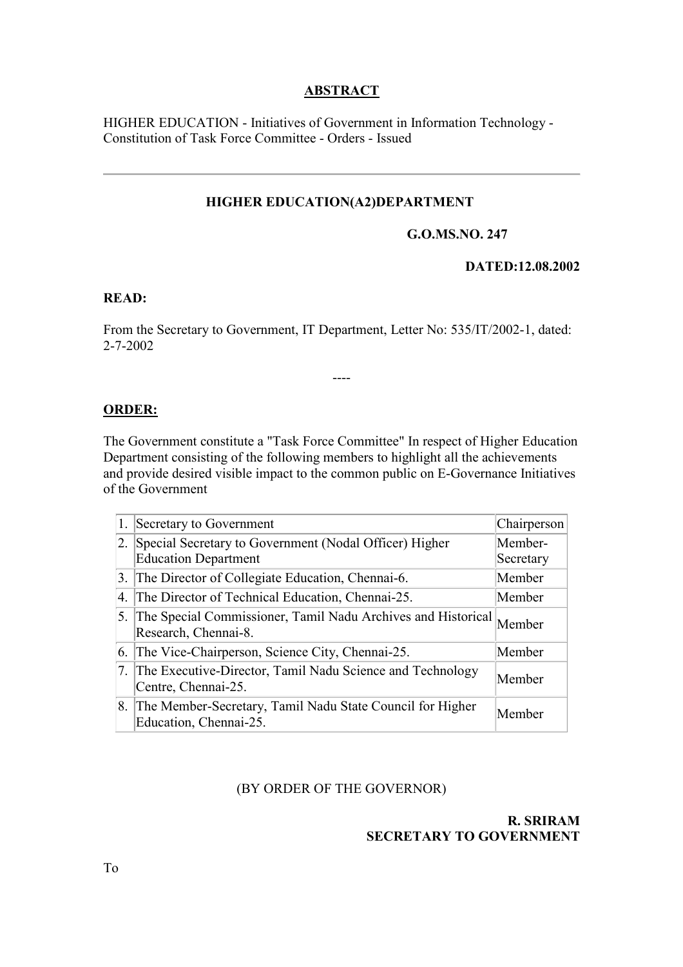# **ABSTRACT**

HIGHER EDUCATION - Initiatives of Government in Information Technology - Constitution of Task Force Committee - Orders - Issued

## **HIGHER EDUCATION(A2)DEPARTMENT**

### **G.O.MS.NO. 247**

### **DATED:12.08.2002**

### **READ:**

From the Secretary to Government, IT Department, Letter No: 535/IT/2002-1, dated: 2-7-2002

----

### **ORDER:**

The Government constitute a "Task Force Committee" In respect of Higher Education Department consisting of the following members to highlight all the achievements and provide desired visible impact to the common public on E-Governance Initiatives of the Government

|    | Secretary to Government                                                                 | Chairperson          |
|----|-----------------------------------------------------------------------------------------|----------------------|
| 2. | Special Secretary to Government (Nodal Officer) Higher<br><b>Education Department</b>   | Member-<br>Secretary |
|    | 3. The Director of Collegiate Education, Chennai-6.                                     | Member               |
| 4. | The Director of Technical Education, Chennai-25.                                        | Member               |
|    | 5. The Special Commissioner, Tamil Nadu Archives and Historical<br>Research, Chennai-8. | Member               |
|    | 6. The Vice-Chairperson, Science City, Chennai-25.                                      | Member               |
|    | 7. The Executive-Director, Tamil Nadu Science and Technology<br>Centre, Chennai-25.     | Member               |
| 8. | The Member-Secretary, Tamil Nadu State Council for Higher<br>Education, Chennai-25.     | Member               |

#### (BY ORDER OF THE GOVERNOR)

### **R. SRIRAM SECRETARY TO GOVERNMENT**